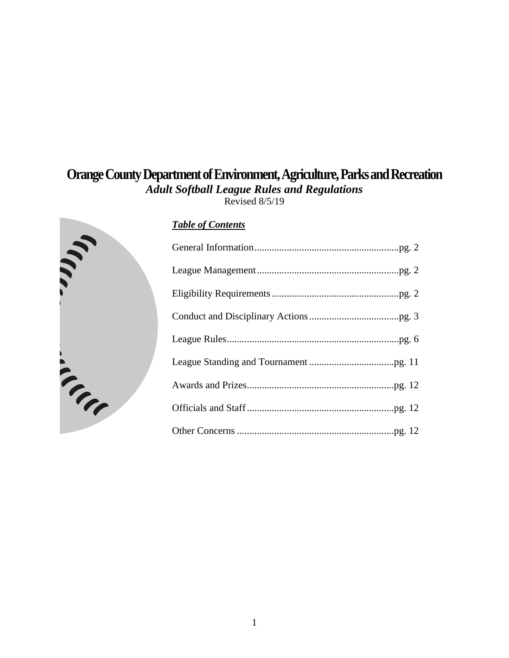# **Orange County Department of Environment, Agriculture, Parks and Recreation**

*Adult Softball League Rules and Regulations*

Revised 8/5/19



# *Table of Contents*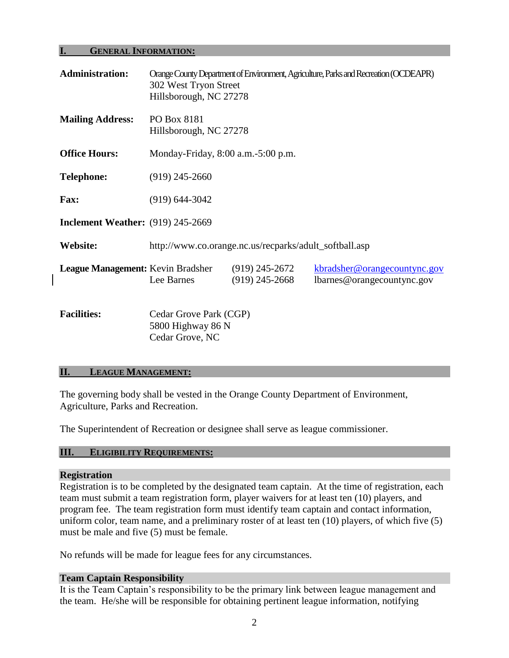#### **I. GENERAL INFORMATION:**

| <b>Administration:</b>                   | 302 West Tryon Street<br>Hillsborough, NC 27278                |                                      | Orange County Department of Environment, Agriculture, Parks and Recreation (OCDEAPR) |  |
|------------------------------------------|----------------------------------------------------------------|--------------------------------------|--------------------------------------------------------------------------------------|--|
| <b>Mailing Address:</b>                  | PO Box 8181<br>Hillsborough, NC 27278                          |                                      |                                                                                      |  |
| <b>Office Hours:</b>                     | Monday-Friday, 8:00 a.m.-5:00 p.m.                             |                                      |                                                                                      |  |
| <b>Telephone:</b>                        | $(919)$ 245-2660                                               |                                      |                                                                                      |  |
| Fax:                                     | $(919) 644 - 3042$                                             |                                      |                                                                                      |  |
| <b>Inclement Weather:</b> (919) 245-2669 |                                                                |                                      |                                                                                      |  |
| <b>Website:</b>                          | http://www.co.orange.nc.us/recparks/adult_softball.asp         |                                      |                                                                                      |  |
| League Management: Kevin Bradsher        | Lee Barnes                                                     | $(919)$ 245-2672<br>$(919)$ 245-2668 | kbradsher@orangecountync.gov<br>lbarnes@orangecountync.gov                           |  |
| <b>Facilities:</b>                       | Cedar Grove Park (CGP)<br>5800 Highway 86 N<br>Cedar Grove, NC |                                      |                                                                                      |  |

# **II. LEAGUE MANAGEMENT:**

The governing body shall be vested in the Orange County Department of Environment, Agriculture, Parks and Recreation.

The Superintendent of Recreation or designee shall serve as league commissioner.

# **III. ELIGIBILITY REQUIREMENTS:**

#### **Registration**

Registration is to be completed by the designated team captain. At the time of registration, each team must submit a team registration form, player waivers for at least ten (10) players, and program fee. The team registration form must identify team captain and contact information, uniform color, team name, and a preliminary roster of at least ten (10) players, of which five (5) must be male and five (5) must be female.

No refunds will be made for league fees for any circumstances.

#### **Team Captain Responsibility**

It is the Team Captain's responsibility to be the primary link between league management and the team. He/she will be responsible for obtaining pertinent league information, notifying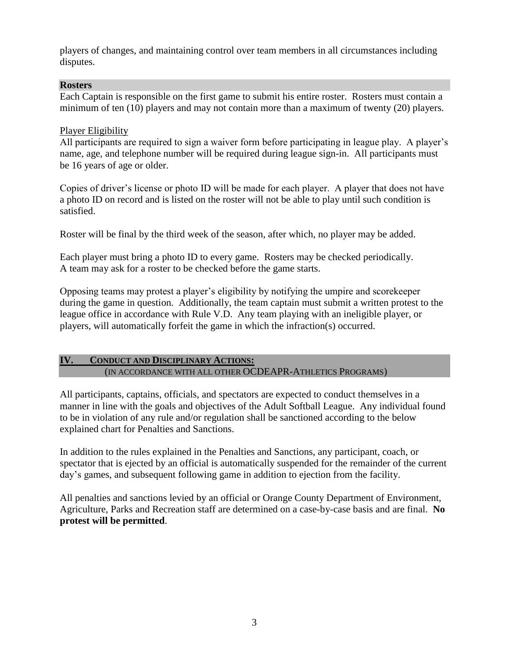players of changes, and maintaining control over team members in all circumstances including disputes.

# **Rosters**

Each Captain is responsible on the first game to submit his entire roster. Rosters must contain a minimum of ten (10) players and may not contain more than a maximum of twenty (20) players.

# Player Eligibility

All participants are required to sign a waiver form before participating in league play. A player's name, age, and telephone number will be required during league sign-in. All participants must be 16 years of age or older.

Copies of driver's license or photo ID will be made for each player. A player that does not have a photo ID on record and is listed on the roster will not be able to play until such condition is satisfied.

Roster will be final by the third week of the season, after which, no player may be added.

Each player must bring a photo ID to every game. Rosters may be checked periodically. A team may ask for a roster to be checked before the game starts.

Opposing teams may protest a player's eligibility by notifying the umpire and scorekeeper during the game in question. Additionally, the team captain must submit a written protest to the league office in accordance with Rule V.D. Any team playing with an ineligible player, or players, will automatically forfeit the game in which the infraction(s) occurred.

# **IV. CONDUCT AND DISCIPLINARY ACTIONS:** (IN ACCORDANCE WITH ALL OTHER OCDEAPR-ATHLETICS PROGRAMS)

All participants, captains, officials, and spectators are expected to conduct themselves in a manner in line with the goals and objectives of the Adult Softball League. Any individual found to be in violation of any rule and/or regulation shall be sanctioned according to the below explained chart for Penalties and Sanctions.

In addition to the rules explained in the Penalties and Sanctions, any participant, coach, or spectator that is ejected by an official is automatically suspended for the remainder of the current day's games, and subsequent following game in addition to ejection from the facility.

All penalties and sanctions levied by an official or Orange County Department of Environment, Agriculture, Parks and Recreation staff are determined on a case-by-case basis and are final. **No protest will be permitted**.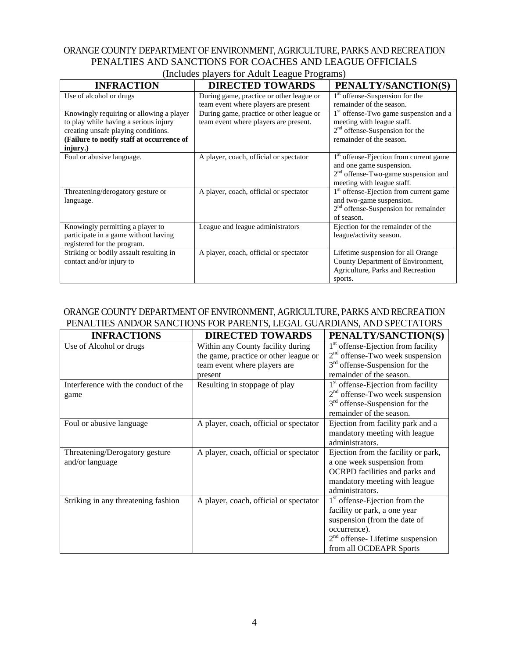### ORANGE COUNTY DEPARTMENT OF ENVIRONMENT, AGRICULTURE, PARKS AND RECREATION PENALTIES AND SANCTIONS FOR COACHES AND LEAGUE OFFICIALS (Includes players for Adult League Programs)

| $($ merades players for <i>F</i> ident League 1 fograms) |                                          |                                                    |  |  |
|----------------------------------------------------------|------------------------------------------|----------------------------------------------------|--|--|
| <b>INFRACTION</b>                                        | <b>DIRECTED TOWARDS</b>                  | PENALTY/SANCTION(S)                                |  |  |
| Use of alcohol or drugs                                  | During game, practice or other league or | 1 <sup>st</sup> offense-Suspension for the         |  |  |
|                                                          | team event where players are present     | remainder of the season.                           |  |  |
| Knowingly requiring or allowing a player                 | During game, practice or other league or | 1 <sup>st</sup> offense-Two game suspension and a  |  |  |
| to play while having a serious injury                    | team event where players are present.    | meeting with league staff.                         |  |  |
| creating unsafe playing conditions.                      |                                          | $2nd$ offense-Suspension for the                   |  |  |
| (Failure to notify staff at occurrence of                |                                          | remainder of the season.                           |  |  |
| injury.)                                                 |                                          |                                                    |  |  |
| Foul or abusive language.                                | A player, coach, official or spectator   | 1 <sup>st</sup> offense-Ejection from current game |  |  |
|                                                          |                                          | and one game suspension.                           |  |  |
|                                                          |                                          | $2nd$ offense-Two-game suspension and              |  |  |
|                                                          |                                          | meeting with league staff.                         |  |  |
| Threatening/derogatory gesture or                        | A player, coach, official or spectator   | 1 <sup>st</sup> offense-Ejection from current game |  |  |
| language.                                                |                                          | and two-game suspension.                           |  |  |
|                                                          |                                          | $2nd$ offense-Suspension for remainder             |  |  |
|                                                          |                                          | of season.                                         |  |  |
| Knowingly permitting a player to                         | League and league administrators         | Ejection for the remainder of the                  |  |  |
| participate in a game without having                     |                                          | league/activity season.                            |  |  |
| registered for the program.                              |                                          |                                                    |  |  |
| Striking or bodily assault resulting in                  | A player, coach, official or spectator   | Lifetime suspension for all Orange                 |  |  |
| contact and/or injury to                                 |                                          | County Department of Environment,                  |  |  |
|                                                          |                                          | Agriculture, Parks and Recreation                  |  |  |
|                                                          |                                          | sports.                                            |  |  |

# ORANGE COUNTY DEPARTMENT OF ENVIRONMENT, AGRICULTURE, PARKS AND RECREATION PENALTIES AND/OR SANCTIONS FOR PARENTS, LEGAL GUARDIANS, AND SPECTATORS

| <b>INFRACTIONS</b>                   | <b>DIRECTED TOWARDS</b>                | PENALTY/SANCTION(S)                            |
|--------------------------------------|----------------------------------------|------------------------------------------------|
| Use of Alcohol or drugs              | Within any County facility during      | 1 <sup>st</sup> offense-Ejection from facility |
|                                      | the game, practice or other league or  | $2nd$ offense-Two week suspension              |
|                                      | team event where players are           | 3 <sup>rd</sup> offense-Suspension for the     |
|                                      | present                                | remainder of the season.                       |
| Interference with the conduct of the | Resulting in stoppage of play          | 1 <sup>st</sup> offense-Ejection from facility |
| game                                 |                                        | $2nd$ offense-Two week suspension              |
|                                      |                                        | 3 <sup>rd</sup> offense-Suspension for the     |
|                                      |                                        | remainder of the season.                       |
| Foul or abusive language             | A player, coach, official or spectator | Ejection from facility park and a              |
|                                      |                                        | mandatory meeting with league                  |
|                                      |                                        | administrators.                                |
| Threatening/Derogatory gesture       | A player, coach, official or spectator | Ejection from the facility or park,            |
| and/or language                      |                                        | a one week suspension from                     |
|                                      |                                        | OCRPD facilities and parks and                 |
|                                      |                                        | mandatory meeting with league                  |
|                                      |                                        | administrators.                                |
| Striking in any threatening fashion  | A player, coach, official or spectator | 1 <sup>st</sup> offense-Ejection from the      |
|                                      |                                        | facility or park, a one year                   |
|                                      |                                        | suspension (from the date of                   |
|                                      |                                        | occurrence).                                   |
|                                      |                                        | $2nd$ offense-Lifetime suspension              |
|                                      |                                        | from all OCDEAPR Sports                        |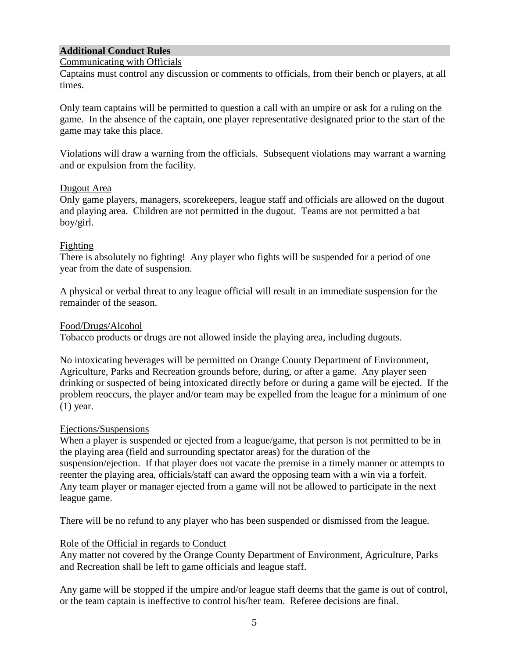# **Additional Conduct Rules**

#### Communicating with Officials

Captains must control any discussion or comments to officials, from their bench or players, at all times.

Only team captains will be permitted to question a call with an umpire or ask for a ruling on the game. In the absence of the captain, one player representative designated prior to the start of the game may take this place.

Violations will draw a warning from the officials. Subsequent violations may warrant a warning and or expulsion from the facility.

#### Dugout Area

Only game players, managers, scorekeepers, league staff and officials are allowed on the dugout and playing area. Children are not permitted in the dugout. Teams are not permitted a bat boy/girl.

# Fighting

There is absolutely no fighting! Any player who fights will be suspended for a period of one year from the date of suspension.

A physical or verbal threat to any league official will result in an immediate suspension for the remainder of the season.

#### Food/Drugs/Alcohol

Tobacco products or drugs are not allowed inside the playing area, including dugouts.

No intoxicating beverages will be permitted on Orange County Department of Environment, Agriculture, Parks and Recreation grounds before, during, or after a game. Any player seen drinking or suspected of being intoxicated directly before or during a game will be ejected. If the problem reoccurs, the player and/or team may be expelled from the league for a minimum of one (1) year.

# Ejections/Suspensions

When a player is suspended or ejected from a league/game, that person is not permitted to be in the playing area (field and surrounding spectator areas) for the duration of the suspension/ejection. If that player does not vacate the premise in a timely manner or attempts to reenter the playing area, officials/staff can award the opposing team with a win via a forfeit. Any team player or manager ejected from a game will not be allowed to participate in the next league game.

There will be no refund to any player who has been suspended or dismissed from the league.

#### Role of the Official in regards to Conduct

Any matter not covered by the Orange County Department of Environment, Agriculture, Parks and Recreation shall be left to game officials and league staff.

Any game will be stopped if the umpire and/or league staff deems that the game is out of control, or the team captain is ineffective to control his/her team. Referee decisions are final.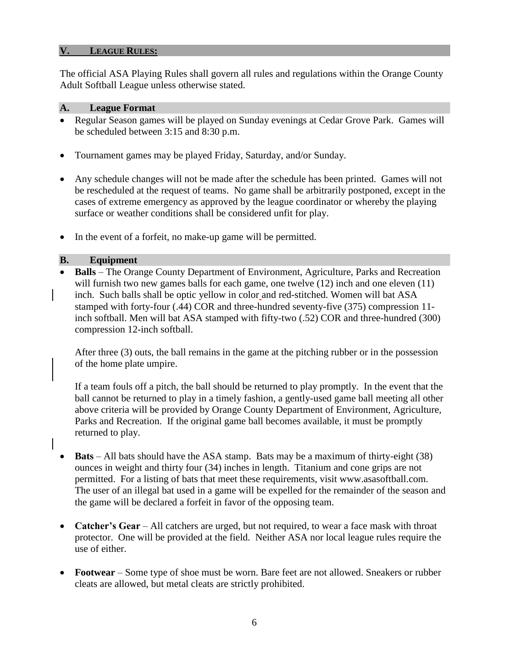# **V. LEAGUE RULES:**

The official ASA Playing Rules shall govern all rules and regulations within the Orange County Adult Softball League unless otherwise stated.

#### **A. League Format**

- Regular Season games will be played on Sunday evenings at Cedar Grove Park. Games will be scheduled between 3:15 and 8:30 p.m.
- Tournament games may be played Friday, Saturday, and/or Sunday.
- Any schedule changes will not be made after the schedule has been printed. Games will not be rescheduled at the request of teams. No game shall be arbitrarily postponed, except in the cases of extreme emergency as approved by the league coordinator or whereby the playing surface or weather conditions shall be considered unfit for play.
- In the event of a forfeit, no make-up game will be permitted.

# **B. Equipment**

 **Balls** – The Orange County Department of Environment, Agriculture, Parks and Recreation will furnish two new games balls for each game, one twelve (12) inch and one eleven (11) inch. Such balls shall be optic yellow in color and red-stitched. Women will bat ASA stamped with forty-four (.44) COR and three-hundred seventy-five (375) compression 11 inch softball. Men will bat ASA stamped with fifty-two (.52) COR and three-hundred (300) compression 12-inch softball.

After three (3) outs, the ball remains in the game at the pitching rubber or in the possession of the home plate umpire.

If a team fouls off a pitch, the ball should be returned to play promptly. In the event that the ball cannot be returned to play in a timely fashion, a gently-used game ball meeting all other above criteria will be provided by Orange County Department of Environment, Agriculture, Parks and Recreation. If the original game ball becomes available, it must be promptly returned to play.

- **Bats** All bats should have the ASA stamp. Bats may be a maximum of thirty-eight (38) ounces in weight and thirty four (34) inches in length. Titanium and cone grips are not permitted. For a listing of bats that meet these requirements, visit www.asasoftball.com. The user of an illegal bat used in a game will be expelled for the remainder of the season and the game will be declared a forfeit in favor of the opposing team.
- **Catcher's Gear** All catchers are urged, but not required, to wear a face mask with throat protector. One will be provided at the field. Neither ASA nor local league rules require the use of either.
- **Footwear** Some type of shoe must be worn. Bare feet are not allowed. Sneakers or rubber cleats are allowed, but metal cleats are strictly prohibited.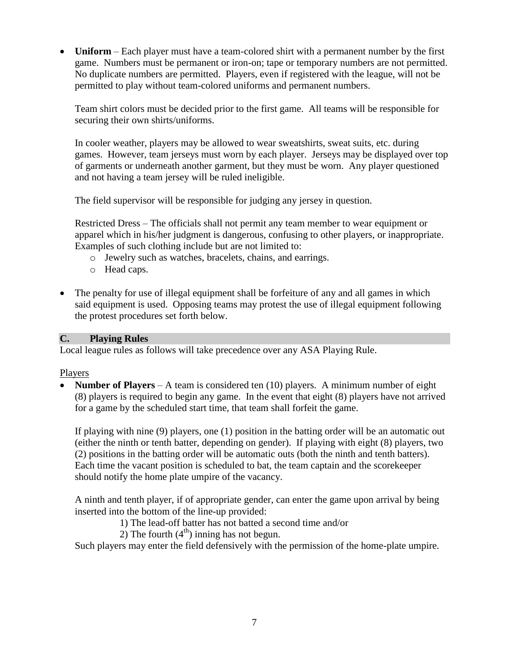**Uniform** – Each player must have a team-colored shirt with a permanent number by the first game. Numbers must be permanent or iron-on; tape or temporary numbers are not permitted. No duplicate numbers are permitted. Players, even if registered with the league, will not be permitted to play without team-colored uniforms and permanent numbers.

Team shirt colors must be decided prior to the first game. All teams will be responsible for securing their own shirts/uniforms.

In cooler weather, players may be allowed to wear sweatshirts, sweat suits, etc. during games. However, team jerseys must worn by each player. Jerseys may be displayed over top of garments or underneath another garment, but they must be worn. Any player questioned and not having a team jersey will be ruled ineligible.

The field supervisor will be responsible for judging any jersey in question.

Restricted Dress – The officials shall not permit any team member to wear equipment or apparel which in his/her judgment is dangerous, confusing to other players, or inappropriate. Examples of such clothing include but are not limited to:

- o Jewelry such as watches, bracelets, chains, and earrings.
- o Head caps.
- The penalty for use of illegal equipment shall be forfeiture of any and all games in which said equipment is used. Opposing teams may protest the use of illegal equipment following the protest procedures set forth below.

# **C. Playing Rules**

Local league rules as follows will take precedence over any ASA Playing Rule.

# **Players**

• **Number of Players** – A team is considered ten (10) players. A minimum number of eight (8) players is required to begin any game. In the event that eight (8) players have not arrived for a game by the scheduled start time, that team shall forfeit the game.

If playing with nine (9) players, one (1) position in the batting order will be an automatic out (either the ninth or tenth batter, depending on gender). If playing with eight (8) players, two (2) positions in the batting order will be automatic outs (both the ninth and tenth batters). Each time the vacant position is scheduled to bat, the team captain and the scorekeeper should notify the home plate umpire of the vacancy.

A ninth and tenth player, if of appropriate gender, can enter the game upon arrival by being inserted into the bottom of the line-up provided:

1) The lead-off batter has not batted a second time and/or

2) The fourth  $(4<sup>th</sup>)$  inning has not begun.

Such players may enter the field defensively with the permission of the home-plate umpire.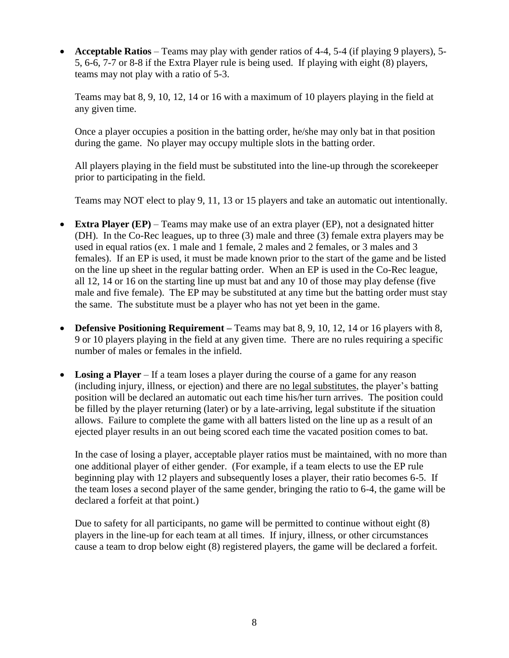• **Acceptable Ratios** – Teams may play with gender ratios of 4-4, 5-4 (if playing 9 players), 5-5, 6-6, 7-7 or 8-8 if the Extra Player rule is being used. If playing with eight (8) players, teams may not play with a ratio of 5-3.

Teams may bat 8, 9, 10, 12, 14 or 16 with a maximum of 10 players playing in the field at any given time.

Once a player occupies a position in the batting order, he/she may only bat in that position during the game. No player may occupy multiple slots in the batting order.

All players playing in the field must be substituted into the line-up through the scorekeeper prior to participating in the field.

Teams may NOT elect to play 9, 11, 13 or 15 players and take an automatic out intentionally.

- **Extra Player (EP)** Teams may make use of an extra player (EP), not a designated hitter (DH). In the Co-Rec leagues, up to three (3) male and three (3) female extra players may be used in equal ratios (ex. 1 male and 1 female, 2 males and 2 females, or 3 males and 3 females). If an EP is used, it must be made known prior to the start of the game and be listed on the line up sheet in the regular batting order. When an EP is used in the Co-Rec league, all 12, 14 or 16 on the starting line up must bat and any 10 of those may play defense (five male and five female). The EP may be substituted at any time but the batting order must stay the same. The substitute must be a player who has not yet been in the game.
- **Defensive Positioning Requirement –** Teams may bat 8, 9, 10, 12, 14 or 16 players with 8, 9 or 10 players playing in the field at any given time. There are no rules requiring a specific number of males or females in the infield.
- Losing a Player If a team loses a player during the course of a game for any reason (including injury, illness, or ejection) and there are no legal substitutes, the player's batting position will be declared an automatic out each time his/her turn arrives. The position could be filled by the player returning (later) or by a late-arriving, legal substitute if the situation allows. Failure to complete the game with all batters listed on the line up as a result of an ejected player results in an out being scored each time the vacated position comes to bat.

In the case of losing a player, acceptable player ratios must be maintained, with no more than one additional player of either gender. (For example, if a team elects to use the EP rule beginning play with 12 players and subsequently loses a player, their ratio becomes 6-5. If the team loses a second player of the same gender, bringing the ratio to 6-4, the game will be declared a forfeit at that point.)

Due to safety for all participants, no game will be permitted to continue without eight (8) players in the line-up for each team at all times. If injury, illness, or other circumstances cause a team to drop below eight (8) registered players, the game will be declared a forfeit.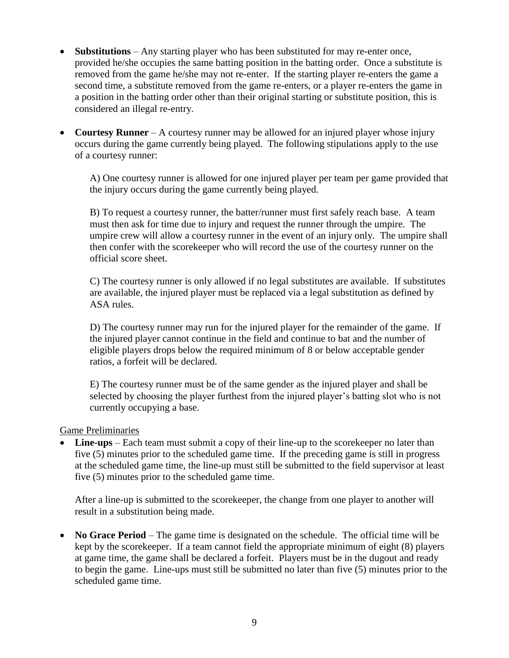- **Substitutions** Any starting player who has been substituted for may re-enter once, provided he/she occupies the same batting position in the batting order. Once a substitute is removed from the game he/she may not re-enter. If the starting player re-enters the game a second time, a substitute removed from the game re-enters, or a player re-enters the game in a position in the batting order other than their original starting or substitute position, this is considered an illegal re-entry.
- **Courtesy Runner** A courtesy runner may be allowed for an injured player whose injury occurs during the game currently being played. The following stipulations apply to the use of a courtesy runner:

A) One courtesy runner is allowed for one injured player per team per game provided that the injury occurs during the game currently being played.

B) To request a courtesy runner, the batter/runner must first safely reach base. A team must then ask for time due to injury and request the runner through the umpire. The umpire crew will allow a courtesy runner in the event of an injury only. The umpire shall then confer with the scorekeeper who will record the use of the courtesy runner on the official score sheet.

C) The courtesy runner is only allowed if no legal substitutes are available. If substitutes are available, the injured player must be replaced via a legal substitution as defined by ASA rules.

D) The courtesy runner may run for the injured player for the remainder of the game. If the injured player cannot continue in the field and continue to bat and the number of eligible players drops below the required minimum of 8 or below acceptable gender ratios, a forfeit will be declared.

E) The courtesy runner must be of the same gender as the injured player and shall be selected by choosing the player furthest from the injured player's batting slot who is not currently occupying a base.

# Game Preliminaries

• Line-ups – Each team must submit a copy of their line-up to the scorekeeper no later than five (5) minutes prior to the scheduled game time. If the preceding game is still in progress at the scheduled game time, the line-up must still be submitted to the field supervisor at least five (5) minutes prior to the scheduled game time.

After a line-up is submitted to the scorekeeper, the change from one player to another will result in a substitution being made.

• No Grace Period – The game time is designated on the schedule. The official time will be kept by the scorekeeper. If a team cannot field the appropriate minimum of eight (8) players at game time, the game shall be declared a forfeit. Players must be in the dugout and ready to begin the game. Line-ups must still be submitted no later than five (5) minutes prior to the scheduled game time.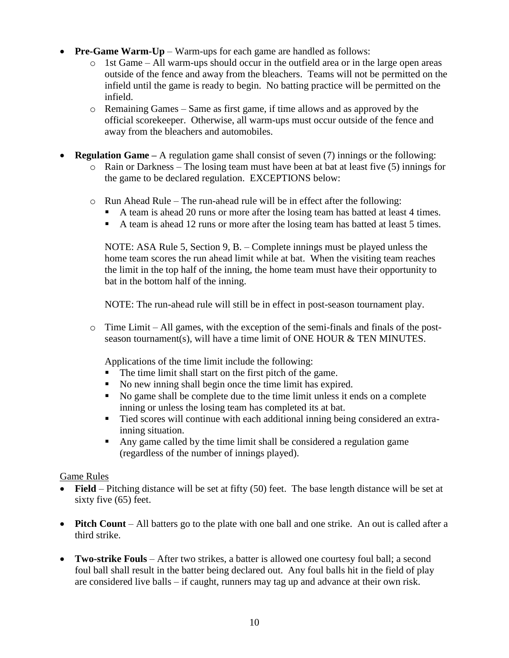- **Pre-Game Warm-Up** Warm-ups for each game are handled as follows:
	- o 1st Game All warm-ups should occur in the outfield area or in the large open areas outside of the fence and away from the bleachers. Teams will not be permitted on the infield until the game is ready to begin. No batting practice will be permitted on the infield.
	- o Remaining Games Same as first game, if time allows and as approved by the official scorekeeper. Otherwise, all warm-ups must occur outside of the fence and away from the bleachers and automobiles.
- **Regulation Game** A regulation game shall consist of seven (7) innings or the following:
	- $\circ$  Rain or Darkness The losing team must have been at bat at least five (5) innings for the game to be declared regulation. EXCEPTIONS below:
	- o Run Ahead Rule The run-ahead rule will be in effect after the following:
		- A team is ahead 20 runs or more after the losing team has batted at least 4 times.
		- A team is ahead 12 runs or more after the losing team has batted at least 5 times.

NOTE: ASA Rule 5, Section 9, B. – Complete innings must be played unless the home team scores the run ahead limit while at bat. When the visiting team reaches the limit in the top half of the inning, the home team must have their opportunity to bat in the bottom half of the inning.

NOTE: The run-ahead rule will still be in effect in post-season tournament play.

o Time Limit – All games, with the exception of the semi-finals and finals of the postseason tournament(s), will have a time limit of ONE HOUR  $&$  TEN MINUTES.

Applications of the time limit include the following:

- The time limit shall start on the first pitch of the game.
- No new inning shall begin once the time limit has expired.
- No game shall be complete due to the time limit unless it ends on a complete inning or unless the losing team has completed its at bat.
- Tied scores will continue with each additional inning being considered an extrainning situation.
- Any game called by the time limit shall be considered a regulation game (regardless of the number of innings played).

Game Rules

- Field Pitching distance will be set at fifty (50) feet. The base length distance will be set at sixty five (65) feet.
- Pitch Count All batters go to the plate with one ball and one strike. An out is called after a third strike.
- **Two-strike Fouls** After two strikes, a batter is allowed one courtesy foul ball; a second foul ball shall result in the batter being declared out. Any foul balls hit in the field of play are considered live balls – if caught, runners may tag up and advance at their own risk.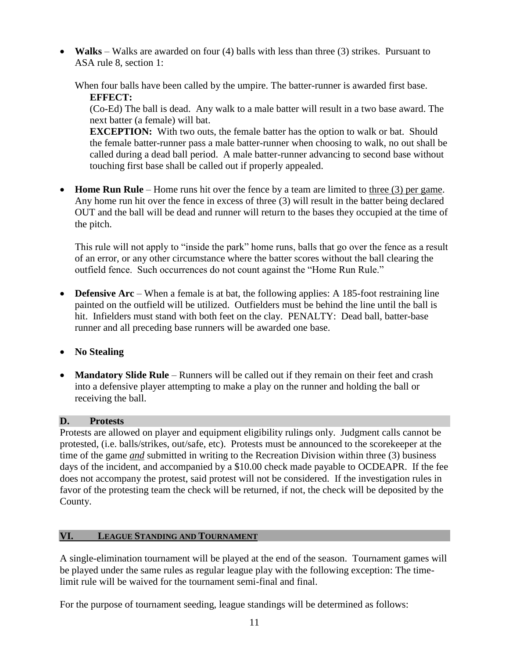**Walks** – Walks are awarded on four (4) balls with less than three (3) strikes. Pursuant to ASA rule 8, section 1:

When four balls have been called by the umpire. The batter-runner is awarded first base. **EFFECT:**

(Co-Ed) The ball is dead. Any walk to a male batter will result in a two base award. The next batter (a female) will bat.

**EXCEPTION:** With two outs, the female batter has the option to walk or bat. Should the female batter-runner pass a male batter-runner when choosing to walk, no out shall be called during a dead ball period. A male batter-runner advancing to second base without touching first base shall be called out if properly appealed.

 **Home Run Rule** – Home runs hit over the fence by a team are limited to three (3) per game. Any home run hit over the fence in excess of three (3) will result in the batter being declared OUT and the ball will be dead and runner will return to the bases they occupied at the time of the pitch.

This rule will not apply to "inside the park" home runs, balls that go over the fence as a result of an error, or any other circumstance where the batter scores without the ball clearing the outfield fence. Such occurrences do not count against the "Home Run Rule."

- **Defensive Arc** When a female is at bat, the following applies: A 185-foot restraining line painted on the outfield will be utilized. Outfielders must be behind the line until the ball is hit. Infielders must stand with both feet on the clay. PENALTY: Dead ball, batter-base runner and all preceding base runners will be awarded one base.
- **No Stealing**
- **Mandatory Slide Rule** Runners will be called out if they remain on their feet and crash into a defensive player attempting to make a play on the runner and holding the ball or receiving the ball.

# **D. Protests**

Protests are allowed on player and equipment eligibility rulings only. Judgment calls cannot be protested, (i.e. balls/strikes, out/safe, etc). Protests must be announced to the scorekeeper at the time of the game *and* submitted in writing to the Recreation Division within three (3) business days of the incident, and accompanied by a \$10.00 check made payable to OCDEAPR. If the fee does not accompany the protest, said protest will not be considered. If the investigation rules in favor of the protesting team the check will be returned, if not, the check will be deposited by the County.

# **VI. LEAGUE STANDING AND TOURNAMENT**

A single-elimination tournament will be played at the end of the season. Tournament games will be played under the same rules as regular league play with the following exception: The timelimit rule will be waived for the tournament semi-final and final.

For the purpose of tournament seeding, league standings will be determined as follows: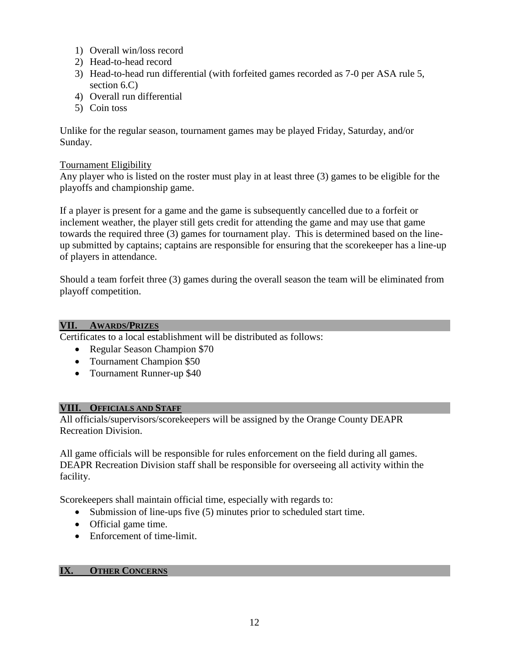- 1) Overall win/loss record
- 2) Head-to-head record
- 3) Head-to-head run differential (with forfeited games recorded as 7-0 per ASA rule 5, section 6.C)
- 4) Overall run differential
- 5) Coin toss

Unlike for the regular season, tournament games may be played Friday, Saturday, and/or Sunday.

# Tournament Eligibility

Any player who is listed on the roster must play in at least three (3) games to be eligible for the playoffs and championship game.

If a player is present for a game and the game is subsequently cancelled due to a forfeit or inclement weather, the player still gets credit for attending the game and may use that game towards the required three (3) games for tournament play. This is determined based on the lineup submitted by captains; captains are responsible for ensuring that the scorekeeper has a line-up of players in attendance.

Should a team forfeit three (3) games during the overall season the team will be eliminated from playoff competition.

# **VII. AWARDS/PRIZES**

Certificates to a local establishment will be distributed as follows:

- Regular Season Champion \$70
- Tournament Champion \$50
- Tournament Runner-up \$40

# **VIII. OFFICIALS AND STAFF**

All officials/supervisors/scorekeepers will be assigned by the Orange County DEAPR Recreation Division.

All game officials will be responsible for rules enforcement on the field during all games. DEAPR Recreation Division staff shall be responsible for overseeing all activity within the facility.

Scorekeepers shall maintain official time, especially with regards to:

- Submission of line-ups five (5) minutes prior to scheduled start time.
- Official game time.
- Enforcement of time-limit.

# **IX. OTHER CONCERNS**